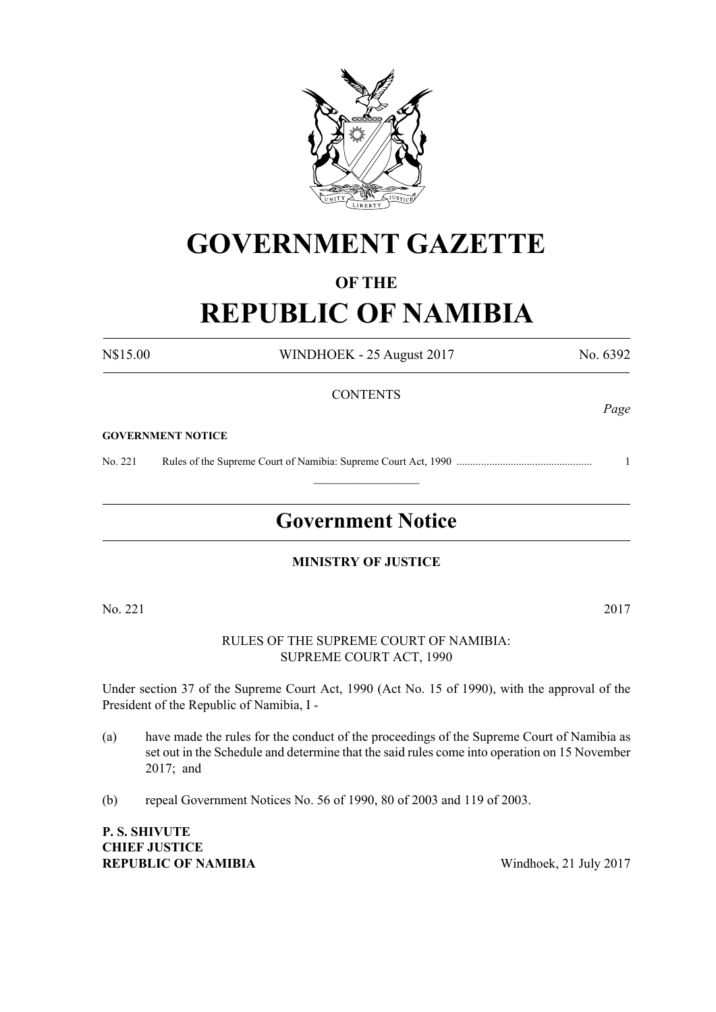

# **GOVERNMENT GAZETTE**

# **OF THE**

# **REPUBLIC OF NAMIBIA**

N\$15.00 WINDHOEK - 25 August 2017 No. 6392 **CONTENTS** 

#### **GOVERNMENT NOTICE**

No. 221 Rules of the Supreme Court of Namibia: Supreme Court Act, 1990 .................................................. 1

# **Government Notice**

 $\frac{1}{2}$ 

#### **MINISTRY OF JUSTICE**

No. 221 2017

#### RULES OF THE SUPREME COURT OF NAMIBIA: SUPREME COURT ACT, 1990

Under section 37 of the Supreme Court Act, 1990 (Act No. 15 of 1990), with the approval of the President of the Republic of Namibia, I -

- (a) have made the rules for the conduct of the proceedings of the Supreme Court of Namibia as set out in the Schedule and determine that the said rules come into operation on 15 November 2017; and
- (b) repeal Government Notices No. 56 of 1990, 80 of 2003 and 119 of 2003.

**P. S. Shivute Chief Justice REPUBLIC OF NAMIBIA** Windhoek, 21 July 2017

*Page*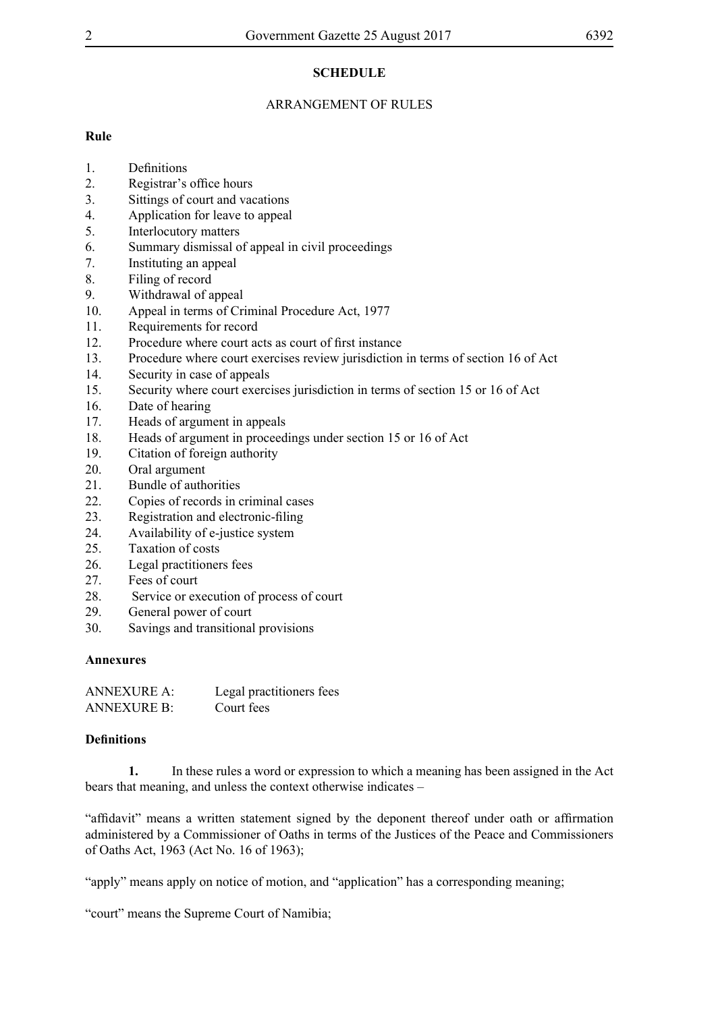# **SCHEDULE**

# ARRANGEMENT OF RULES

# **Rule**

- 1. Definitions
- 2. Registrar's office hours
- 3. Sittings of court and vacations
- 4. Application for leave to appeal
- 5. Interlocutory matters
- 6. Summary dismissal of appeal in civil proceedings
- 7. Instituting an appeal
- 8. Filing of record
- 9. Withdrawal of appeal
- 10. Appeal in terms of Criminal Procedure Act, 1977
- 11. Requirements for record
- 12. Procedure where court acts as court of first instance
- 13. Procedure where court exercises review jurisdiction in terms of section 16 of Act
- 14. Security in case of appeals
- 15. Security where court exercises jurisdiction in terms of section 15 or 16 of Act
- 16. Date of hearing
- 17. Heads of argument in appeals
- 18. Heads of argument in proceedings under section 15 or 16 of Act
- 19. Citation of foreign authority
- 20. Oral argument
- 21. Bundle of authorities
- 22. Copies of records in criminal cases
- 23. Registration and electronic-filing
- 24. Availability of e-justice system
- 25. Taxation of costs
- 26. Legal practitioners fees
- 27. Fees of court
- 28. Service or execution of process of court
- 29. General power of court
- 30. Savings and transitional provisions

# **Annexures**

| <b>ANNEXURE A:</b> | Legal practitioners fees |
|--------------------|--------------------------|
| <b>ANNEXURE B:</b> | Court fees               |

# **Definitions**

**1.** In these rules a word or expression to which a meaning has been assigned in the Act bears that meaning, and unless the context otherwise indicates –

"affidavit" means a written statement signed by the deponent thereof under oath or affirmation administered by a Commissioner of Oaths in terms of the Justices of the Peace and Commissioners of Oaths Act, 1963 (Act No. 16 of 1963);

"apply" means apply on notice of motion, and "application" has a corresponding meaning;

"court" means the Supreme Court of Namibia;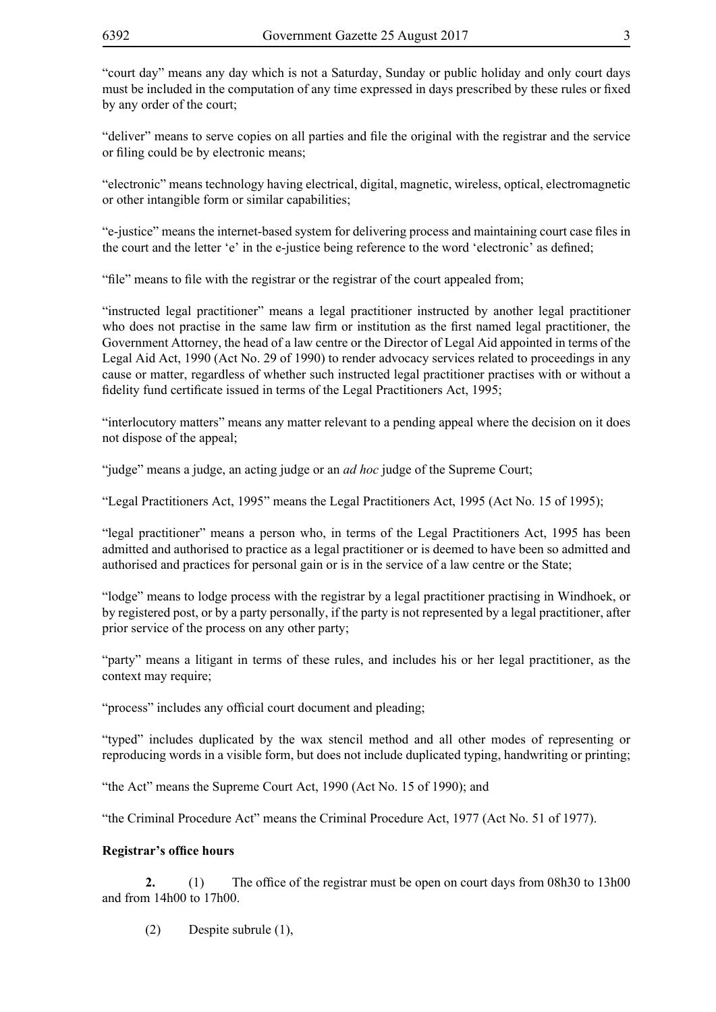"court day" means any day which is not a Saturday, Sunday or public holiday and only court days must be included in the computation of any time expressed in days prescribed by these rules or fixed by any order of the court;

"deliver" means to serve copies on all parties and file the original with the registrar and the service or filing could be by electronic means;

"electronic" means technology having electrical, digital, magnetic, wireless, optical, electromagnetic or other intangible form or similar capabilities;

"e-justice" means the internet-based system for delivering process and maintaining court case files in the court and the letter 'e' in the e-justice being reference to the word 'electronic' as defined;

"file" means to file with the registrar or the registrar of the court appealed from;

"instructed legal practitioner" means a legal practitioner instructed by another legal practitioner who does not practise in the same law firm or institution as the first named legal practitioner, the Government Attorney, the head of a law centre or the Director of Legal Aid appointed in terms of the Legal Aid Act, 1990 (Act No. 29 of 1990) to render advocacy services related to proceedings in any cause or matter, regardless of whether such instructed legal practitioner practises with or without a fidelity fund certificate issued in terms of the Legal Practitioners Act, 1995;

"interlocutory matters" means any matter relevant to a pending appeal where the decision on it does not dispose of the appeal;

"judge" means a judge, an acting judge or an *ad hoc* judge of the Supreme Court;

"Legal Practitioners Act, 1995" means the Legal Practitioners Act, 1995 (Act No. 15 of 1995);

"legal practitioner" means a person who, in terms of the Legal Practitioners Act, 1995 has been admitted and authorised to practice as a legal practitioner or is deemed to have been so admitted and authorised and practices for personal gain or is in the service of a law centre or the State;

"lodge" means to lodge process with the registrar by a legal practitioner practising in Windhoek, or by registered post, or by a party personally, if the party is not represented by a legal practitioner, after prior service of the process on any other party;

"party" means a litigant in terms of these rules, and includes his or her legal practitioner, as the context may require;

"process" includes any official court document and pleading;

"typed" includes duplicated by the wax stencil method and all other modes of representing or reproducing words in a visible form, but does not include duplicated typing, handwriting or printing;

"the Act" means the Supreme Court Act, 1990 (Act No. 15 of 1990); and

"the Criminal Procedure Act" means the Criminal Procedure Act, 1977 (Act No. 51 of 1977).

#### **Registrar's office hours**

**2.** (1) The office of the registrar must be open on court days from 08h30 to 13h00 and from 14h00 to 17h00.

(2) Despite subrule (1),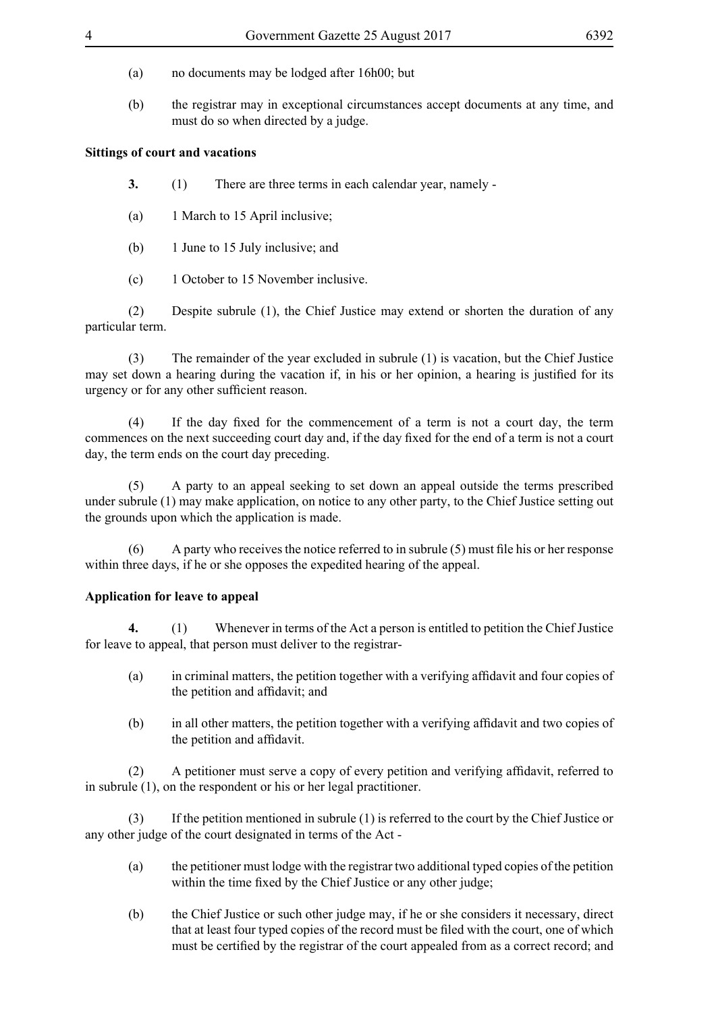- (a) no documents may be lodged after 16h00; but
- (b) the registrar may in exceptional circumstances accept documents at any time, and must do so when directed by a judge.

#### **Sittings of court and vacations**

- **3.** (1) There are three terms in each calendar year, namely -
- (a) 1 March to 15 April inclusive;
- (b) 1 June to 15 July inclusive; and
- (c) 1 October to 15 November inclusive.

(2) Despite subrule (1), the Chief Justice may extend or shorten the duration of any particular term.

(3) The remainder of the year excluded in subrule (1) is vacation, but the Chief Justice may set down a hearing during the vacation if, in his or her opinion, a hearing is justified for its urgency or for any other sufficient reason.

 (4) If the day fixed for the commencement of a term is not a court day, the term commences on the next succeeding court day and, if the day fixed for the end of a term is not a court day, the term ends on the court day preceding.

(5) A party to an appeal seeking to set down an appeal outside the terms prescribed under subrule (1) may make application, on notice to any other party, to the Chief Justice setting out the grounds upon which the application is made.

 $(6)$  A party who receives the notice referred to in subrule  $(5)$  must file his or her response within three days, if he or she opposes the expedited hearing of the appeal.

#### **Application for leave to appeal**

**4.** (1) Whenever in terms of the Act a person is entitled to petition the Chief Justice for leave to appeal, that person must deliver to the registrar-

- (a) in criminal matters, the petition together with a verifying affidavit and four copies of the petition and affidavit; and
- (b) in all other matters, the petition together with a verifying affidavit and two copies of the petition and affidavit.

 (2) A petitioner must serve a copy of every petition and verifying affidavit, referred to in subrule (1), on the respondent or his or her legal practitioner.

(3) If the petition mentioned in subrule (1) is referred to the court by the Chief Justice or any other judge of the court designated in terms of the Act -

- (a) the petitioner must lodge with the registrar two additional typed copies of the petition within the time fixed by the Chief Justice or any other judge;
- (b) the Chief Justice or such other judge may, if he or she considers it necessary, direct that at least four typed copies of the record must be filed with the court, one of which must be certified by the registrar of the court appealed from as a correct record; and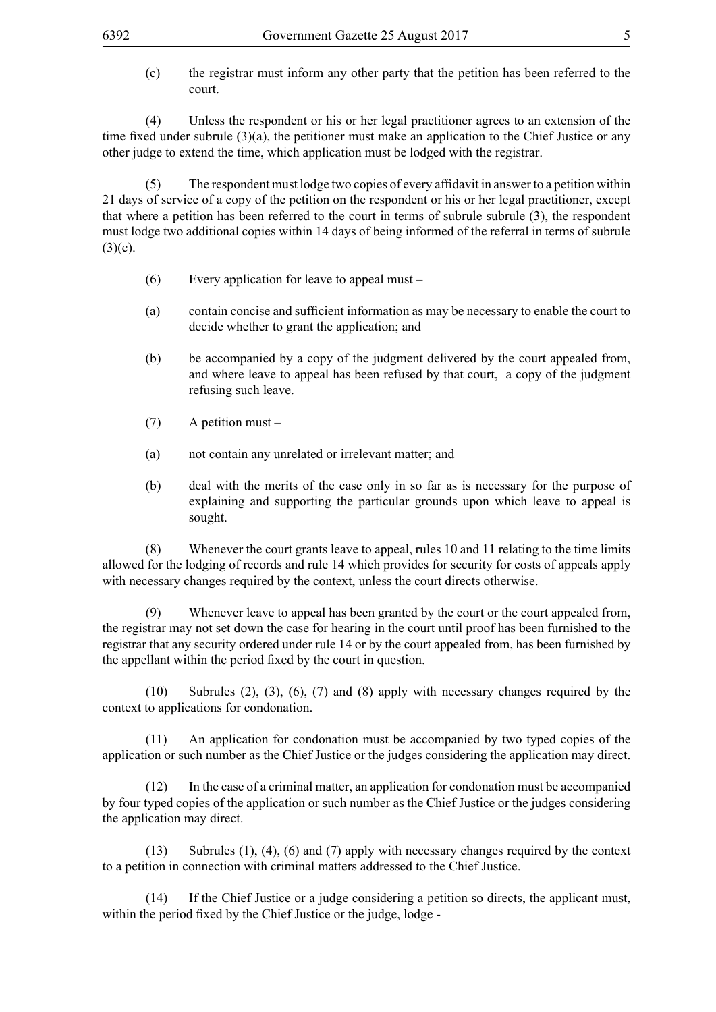(c) the registrar must inform any other party that the petition has been referred to the court.

(4) Unless the respondent or his or her legal practitioner agrees to an extension of the time fixed under subrule (3)(a), the petitioner must make an application to the Chief Justice or any other judge to extend the time, which application must be lodged with the registrar.

 (5) The respondent must lodge two copies of every affidavit in answer to a petition within 21 days of service of a copy of the petition on the respondent or his or her legal practitioner, except that where a petition has been referred to the court in terms of subrule subrule (3), the respondent must lodge two additional copies within 14 days of being informed of the referral in terms of subrule  $(3)(c)$ .

- (6) Every application for leave to appeal must –
- (a) contain concise and sufficient information as may be necessary to enable the court to decide whether to grant the application; and
- (b) be accompanied by a copy of the judgment delivered by the court appealed from, and where leave to appeal has been refused by that court, a copy of the judgment refusing such leave.
- (7) A petition must –
- (a) not contain any unrelated or irrelevant matter; and
- (b) deal with the merits of the case only in so far as is necessary for the purpose of explaining and supporting the particular grounds upon which leave to appeal is sought.

(8) Whenever the court grants leave to appeal, rules 10 and 11 relating to the time limits allowed for the lodging of records and rule 14 which provides for security for costs of appeals apply with necessary changes required by the context, unless the court directs otherwise.

(9) Whenever leave to appeal has been granted by the court or the court appealed from, the registrar may not set down the case for hearing in the court until proof has been furnished to the registrar that any security ordered under rule 14 or by the court appealed from, has been furnished by the appellant within the period fixed by the court in question.

(10) Subrules (2), (3), (6), (7) and (8) apply with necessary changes required by the context to applications for condonation.

(11) An application for condonation must be accompanied by two typed copies of the application or such number as the Chief Justice or the judges considering the application may direct.

(12) In the case of a criminal matter, an application for condonation must be accompanied by four typed copies of the application or such number as the Chief Justice or the judges considering the application may direct.

(13) Subrules (1), (4), (6) and (7) apply with necessary changes required by the context to a petition in connection with criminal matters addressed to the Chief Justice.

(14) If the Chief Justice or a judge considering a petition so directs, the applicant must, within the period fixed by the Chief Justice or the judge, lodge -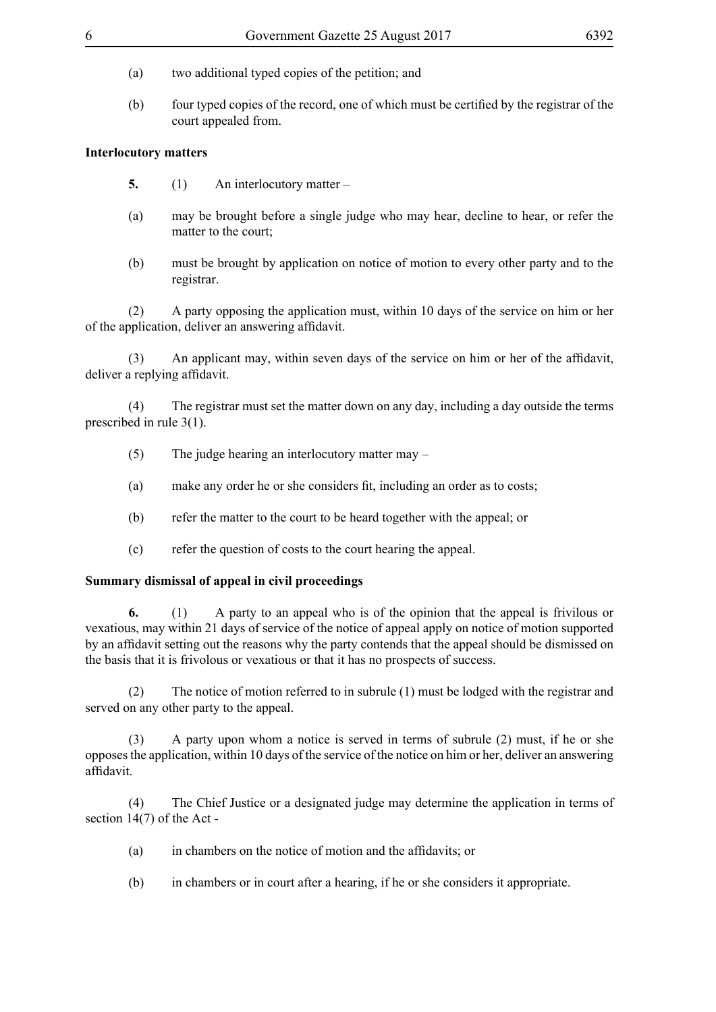- (a) two additional typed copies of the petition; and
- (b) four typed copies of the record, one of which must be certified by the registrar of the court appealed from.

# **Interlocutory matters**

- **5.** (1) An interlocutory matter –
- (a) may be brought before a single judge who may hear, decline to hear, or refer the matter to the court;
- (b) must be brought by application on notice of motion to every other party and to the registrar.

(2) A party opposing the application must, within 10 days of the service on him or her of the application, deliver an answering affidavit.

(3) An applicant may, within seven days of the service on him or her of the affidavit, deliver a replying affidavit.

(4) The registrar must set the matter down on any day, including a day outside the terms prescribed in rule 3(1).

- (5) The judge hearing an interlocutory matter may –
- (a) make any order he or she considers fit, including an order as to costs;
- (b) refer the matter to the court to be heard together with the appeal; or
- (c) refer the question of costs to the court hearing the appeal.

#### **Summary dismissal of appeal in civil proceedings**

**6.** (1) A party to an appeal who is of the opinion that the appeal is frivilous or vexatious, may within 21 days of service of the notice of appeal apply on notice of motion supported by an affidavit setting out the reasons why the party contends that the appeal should be dismissed on the basis that it is frivolous or vexatious or that it has no prospects of success.

(2) The notice of motion referred to in subrule (1) must be lodged with the registrar and served on any other party to the appeal.

(3) A party upon whom a notice is served in terms of subrule (2) must, if he or she opposes the application, within 10 days of the service of the notice on him or her, deliver an answering affidavit.

(4) The Chief Justice or a designated judge may determine the application in terms of section 14(7) of the Act -

- (a) in chambers on the notice of motion and the affidavits; or
- (b) in chambers or in court after a hearing, if he or she considers it appropriate.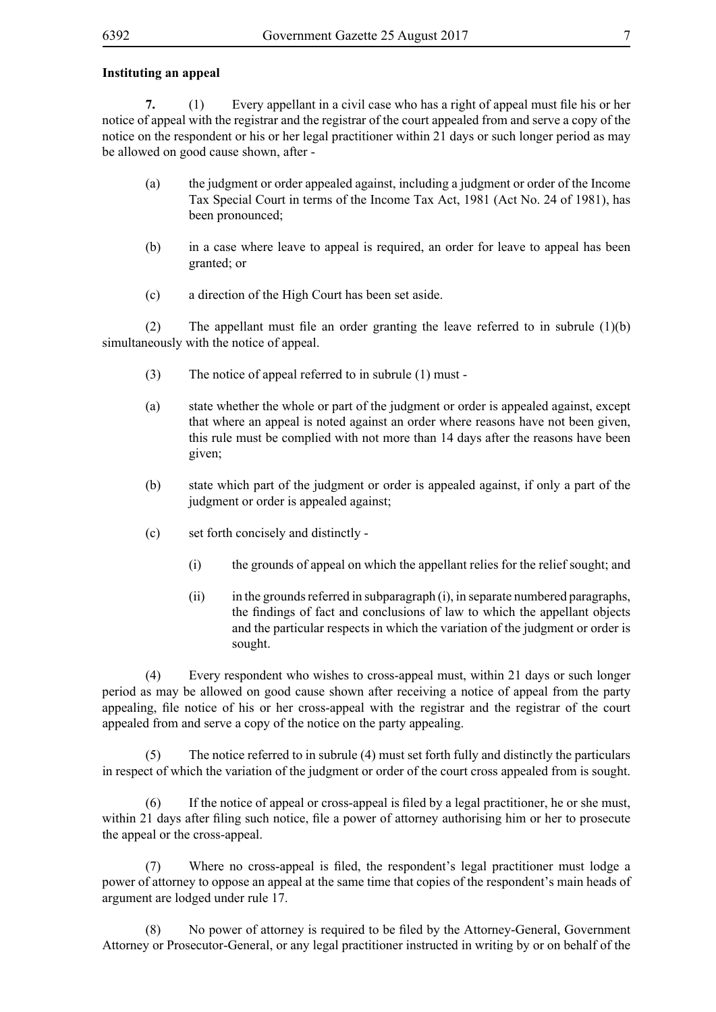#### **Instituting an appeal**

**7.** (1) Every appellant in a civil case who has a right of appeal must file his or her notice of appeal with the registrar and the registrar of the court appealed from and serve a copy of the notice on the respondent or his or her legal practitioner within 21 days or such longer period as may be allowed on good cause shown, after -

- (a) the judgment or order appealed against, including a judgment or order of the Income Tax Special Court in terms of the Income Tax Act, 1981 (Act No. 24 of 1981), has been pronounced;
- (b) in a case where leave to appeal is required, an order for leave to appeal has been granted; or
- (c) a direction of the High Court has been set aside.

(2) The appellant must file an order granting the leave referred to in subrule  $(1)(b)$ simultaneously with the notice of appeal.

- (3) The notice of appeal referred to in subrule (1) must -
- (a) state whether the whole or part of the judgment or order is appealed against, except that where an appeal is noted against an order where reasons have not been given, this rule must be complied with not more than 14 days after the reasons have been given;
- (b) state which part of the judgment or order is appealed against, if only a part of the judgment or order is appealed against;
- (c) set forth concisely and distinctly
	- (i) the grounds of appeal on which the appellant relies for the relief sought; and
	- (ii) in the grounds referred in subparagraph (i), in separate numbered paragraphs, the findings of fact and conclusions of law to which the appellant objects and the particular respects in which the variation of the judgment or order is sought.

(4) Every respondent who wishes to cross-appeal must, within 21 days or such longer period as may be allowed on good cause shown after receiving a notice of appeal from the party appealing, file notice of his or her cross-appeal with the registrar and the registrar of the court appealed from and serve a copy of the notice on the party appealing.

(5) The notice referred to in subrule (4) must set forth fully and distinctly the particulars in respect of which the variation of the judgment or order of the court cross appealed from is sought.

 (6) If the notice of appeal or cross-appeal is filed by a legal practitioner, he or she must, within 21 days after filing such notice, file a power of attorney authorising him or her to prosecute the appeal or the cross-appeal.

 (7) Where no cross-appeal is filed, the respondent's legal practitioner must lodge a power of attorney to oppose an appeal at the same time that copies of the respondent's main heads of argument are lodged under rule 17.

 (8) No power of attorney is required to be filed by the Attorney-General, Government Attorney or Prosecutor-General, or any legal practitioner instructed in writing by or on behalf of the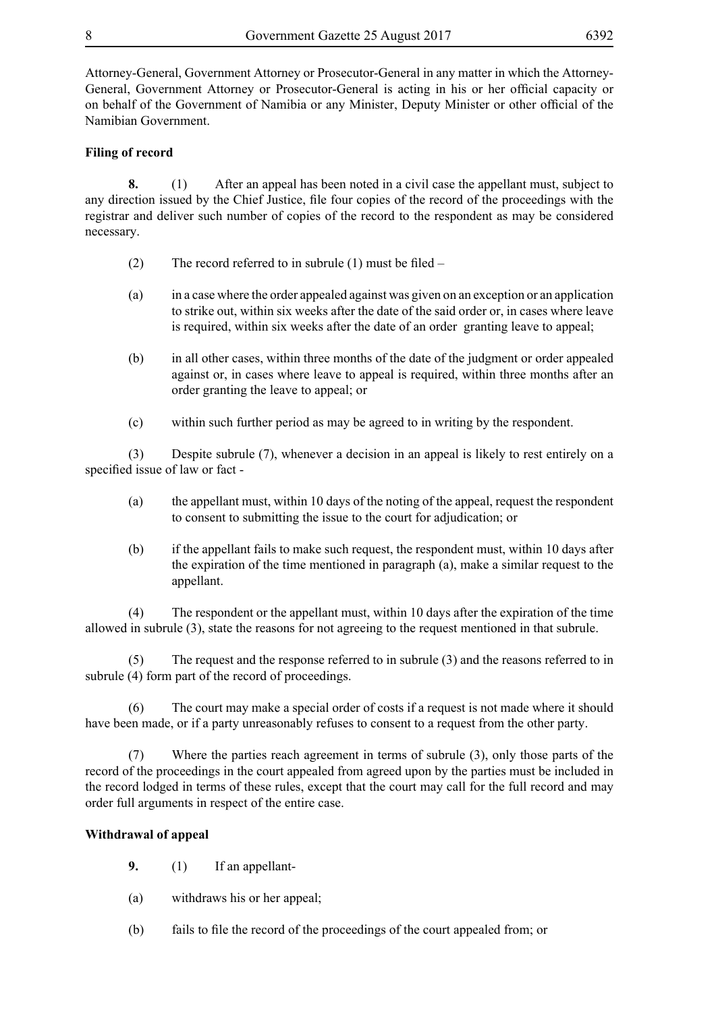Attorney-General, Government Attorney or Prosecutor-General in any matter in which the Attorney-General, Government Attorney or Prosecutor-General is acting in his or her official capacity or on behalf of the Government of Namibia or any Minister, Deputy Minister or other official of the Namibian Government.

## **Filing of record**

**8.** (1) After an appeal has been noted in a civil case the appellant must, subject to any direction issued by the Chief Justice, file four copies of the record of the proceedings with the registrar and deliver such number of copies of the record to the respondent as may be considered necessary.

- (2) The record referred to in subrule (1) must be filed –
- (a) in a case where the order appealed against was given on an exception or an application to strike out, within six weeks after the date of the said order or, in cases where leave is required, within six weeks after the date of an order granting leave to appeal;
- (b) in all other cases, within three months of the date of the judgment or order appealed against or, in cases where leave to appeal is required, within three months after an order granting the leave to appeal; or
- (c) within such further period as may be agreed to in writing by the respondent.

(3) Despite subrule (7), whenever a decision in an appeal is likely to rest entirely on a specified issue of law or fact -

- (a) the appellant must, within 10 days of the noting of the appeal, request the respondent to consent to submitting the issue to the court for adjudication; or
- (b) if the appellant fails to make such request, the respondent must, within 10 days after the expiration of the time mentioned in paragraph (a), make a similar request to the appellant.

(4) The respondent or the appellant must, within 10 days after the expiration of the time allowed in subrule (3), state the reasons for not agreeing to the request mentioned in that subrule.

(5) The request and the response referred to in subrule (3) and the reasons referred to in subrule (4) form part of the record of proceedings.

(6) The court may make a special order of costs if a request is not made where it should have been made, or if a party unreasonably refuses to consent to a request from the other party.

(7) Where the parties reach agreement in terms of subrule (3), only those parts of the record of the proceedings in the court appealed from agreed upon by the parties must be included in the record lodged in terms of these rules, except that the court may call for the full record and may order full arguments in respect of the entire case.

#### **Withdrawal of appeal**

- **9.** (1) If an appellant-
- (a) withdraws his or her appeal;
- (b) fails to file the record of the proceedings of the court appealed from; or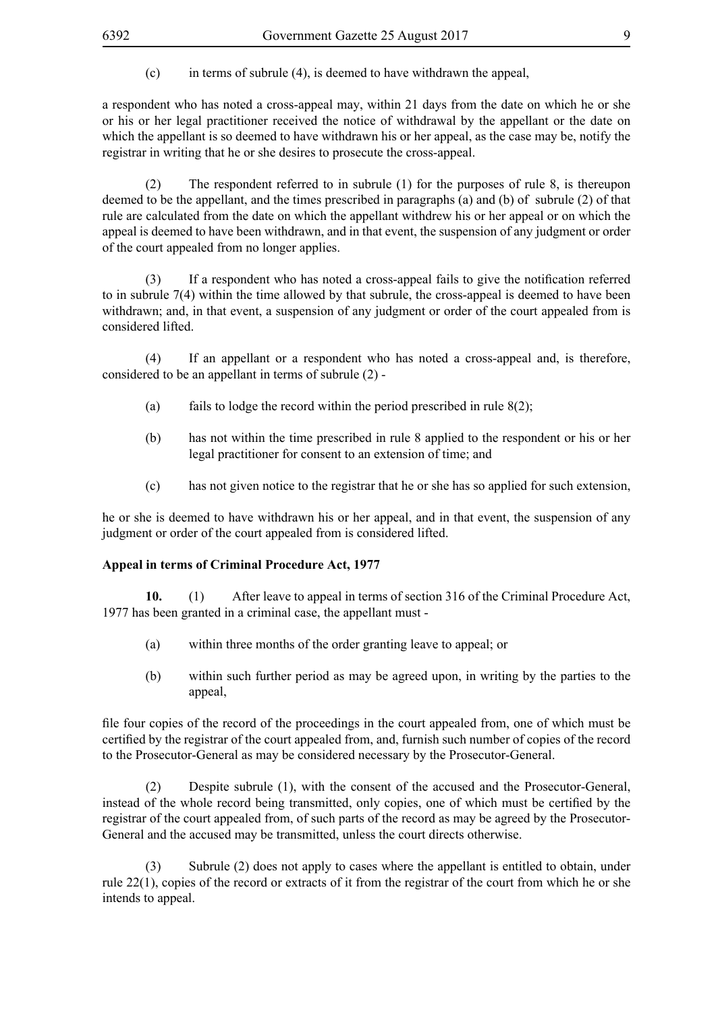$(c)$  in terms of subrule (4), is deemed to have withdrawn the appeal,

a respondent who has noted a cross-appeal may, within 21 days from the date on which he or she or his or her legal practitioner received the notice of withdrawal by the appellant or the date on which the appellant is so deemed to have withdrawn his or her appeal, as the case may be, notify the registrar in writing that he or she desires to prosecute the cross-appeal.

(2) The respondent referred to in subrule (1) for the purposes of rule 8, is thereupon deemed to be the appellant, and the times prescribed in paragraphs (a) and (b) of subrule (2) of that rule are calculated from the date on which the appellant withdrew his or her appeal or on which the appeal is deemed to have been withdrawn, and in that event, the suspension of any judgment or order of the court appealed from no longer applies.

 (3) If a respondent who has noted a cross-appeal fails to give the notification referred to in subrule 7(4) within the time allowed by that subrule, the cross-appeal is deemed to have been withdrawn; and, in that event, a suspension of any judgment or order of the court appealed from is considered lifted.

(4) If an appellant or a respondent who has noted a cross-appeal and, is therefore, considered to be an appellant in terms of subrule (2) -

- (a) fails to lodge the record within the period prescribed in rule  $8(2)$ ;
- (b) has not within the time prescribed in rule 8 applied to the respondent or his or her legal practitioner for consent to an extension of time; and
- (c) has not given notice to the registrar that he or she has so applied for such extension,

he or she is deemed to have withdrawn his or her appeal, and in that event, the suspension of any judgment or order of the court appealed from is considered lifted.

#### **Appeal in terms of Criminal Procedure Act, 1977**

**10.** (1) After leave to appeal in terms of section 316 of the Criminal Procedure Act, 1977 has been granted in a criminal case, the appellant must -

- (a) within three months of the order granting leave to appeal; or
- (b) within such further period as may be agreed upon, in writing by the parties to the appeal,

file four copies of the record of the proceedings in the court appealed from, one of which must be certified by the registrar of the court appealed from, and, furnish such number of copies of the record to the Prosecutor-General as may be considered necessary by the Prosecutor-General.

(2) Despite subrule (1), with the consent of the accused and the Prosecutor-General, instead of the whole record being transmitted, only copies, one of which must be certified by the registrar of the court appealed from, of such parts of the record as may be agreed by the Prosecutor-General and the accused may be transmitted, unless the court directs otherwise.

(3) Subrule (2) does not apply to cases where the appellant is entitled to obtain, under rule 22(1), copies of the record or extracts of it from the registrar of the court from which he or she intends to appeal.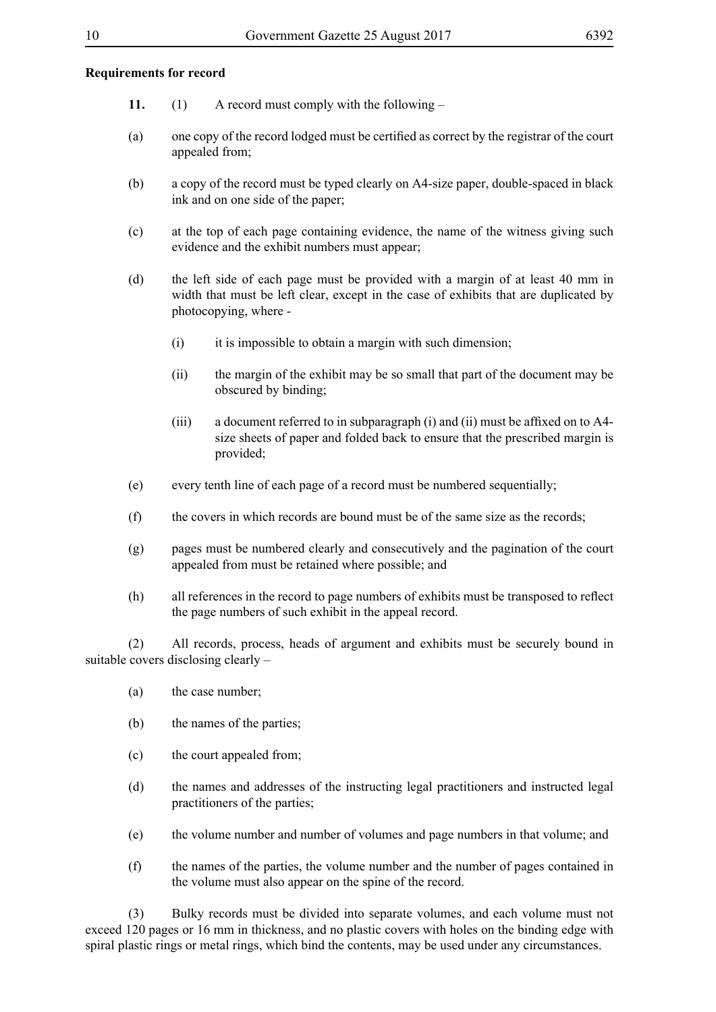#### **Requirements for record**

- **11.** (1) A record must comply with the following –
- (a) one copy of the record lodged must be certified as correct by the registrar of the court appealed from;
- (b) a copy of the record must be typed clearly on A4-size paper, double-spaced in black ink and on one side of the paper;
- (c) at the top of each page containing evidence, the name of the witness giving such evidence and the exhibit numbers must appear;
- (d) the left side of each page must be provided with a margin of at least 40 mm in width that must be left clear, except in the case of exhibits that are duplicated by photocopying, where -
	- (i) it is impossible to obtain a margin with such dimension;
	- (ii) the margin of the exhibit may be so small that part of the document may be obscured by binding;
	- $(iii)$  a document referred to in subparagraph  $(i)$  and  $(ii)$  must be affixed on to A4size sheets of paper and folded back to ensure that the prescribed margin is provided;
- (e) every tenth line of each page of a record must be numbered sequentially;
- (f) the covers in which records are bound must be of the same size as the records;
- (g) pages must be numbered clearly and consecutively and the pagination of the court appealed from must be retained where possible; and
- (h) all references in the record to page numbers of exhibits must be transposed to reflect the page numbers of such exhibit in the appeal record.

(2) All records, process, heads of argument and exhibits must be securely bound in suitable covers disclosing clearly –

- (a) the case number;
- (b) the names of the parties;
- (c) the court appealed from;
- (d) the names and addresses of the instructing legal practitioners and instructed legal practitioners of the parties;
- (e) the volume number and number of volumes and page numbers in that volume; and
- (f) the names of the parties, the volume number and the number of pages contained in the volume must also appear on the spine of the record.

(3) Bulky records must be divided into separate volumes, and each volume must not exceed 120 pages or 16 mm in thickness, and no plastic covers with holes on the binding edge with spiral plastic rings or metal rings, which bind the contents, may be used under any circumstances.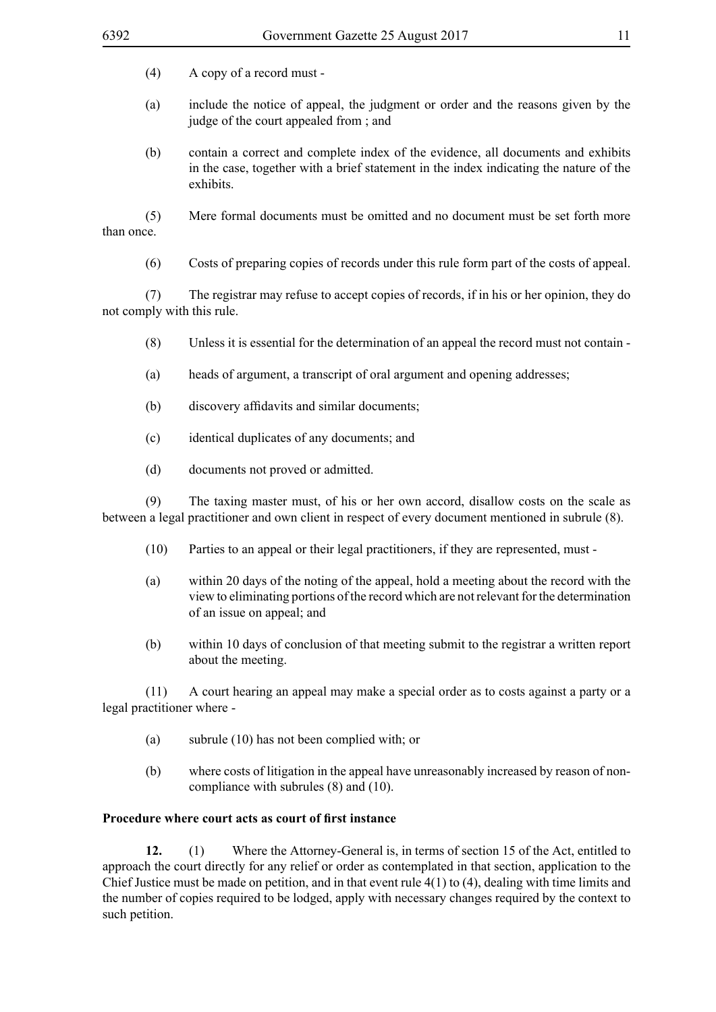- (a) include the notice of appeal, the judgment or order and the reasons given by the judge of the court appealed from ; and
- (b) contain a correct and complete index of the evidence, all documents and exhibits in the case, together with a brief statement in the index indicating the nature of the exhibits.

(5) Mere formal documents must be omitted and no document must be set forth more than once.

(6) Costs of preparing copies of records under this rule form part of the costs of appeal.

(7) The registrar may refuse to accept copies of records, if in his or her opinion, they do not comply with this rule.

- (8) Unless it is essential for the determination of an appeal the record must not contain -
- (a) heads of argument, a transcript of oral argument and opening addresses;
- (b) discovery affidavits and similar documents;
- (c) identical duplicates of any documents; and
- (d) documents not proved or admitted.

(9) The taxing master must, of his or her own accord, disallow costs on the scale as between a legal practitioner and own client in respect of every document mentioned in subrule (8).

- (10) Parties to an appeal or their legal practitioners, if they are represented, must -
- (a) within 20 days of the noting of the appeal, hold a meeting about the record with the view to eliminating portions of the record which are not relevant for the determination of an issue on appeal; and
- (b) within 10 days of conclusion of that meeting submit to the registrar a written report about the meeting.

(11) A court hearing an appeal may make a special order as to costs against a party or a legal practitioner where -

- (a) subrule (10) has not been complied with; or
- (b) where costs of litigation in the appeal have unreasonably increased by reason of noncompliance with subrules (8) and (10).

## **Procedure where court acts as court of first instance**

**12.** (1) Where the Attorney-General is, in terms of section 15 of the Act, entitled to approach the court directly for any relief or order as contemplated in that section, application to the Chief Justice must be made on petition, and in that event rule 4(1) to (4), dealing with time limits and the number of copies required to be lodged, apply with necessary changes required by the context to such petition.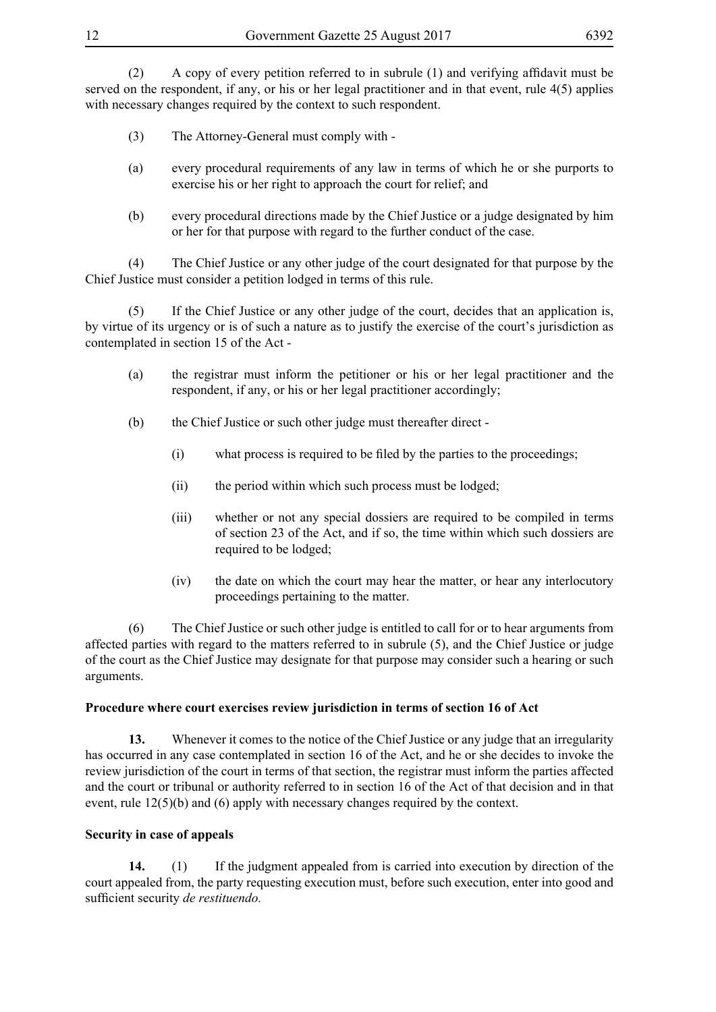(2) A copy of every petition referred to in subrule (1) and verifying affidavit must be served on the respondent, if any, or his or her legal practitioner and in that event, rule 4(5) applies with necessary changes required by the context to such respondent.

- (3) The Attorney-General must comply with -
- (a) every procedural requirements of any law in terms of which he or she purports to exercise his or her right to approach the court for relief; and
- (b) every procedural directions made by the Chief Justice or a judge designated by him or her for that purpose with regard to the further conduct of the case.

(4) The Chief Justice or any other judge of the court designated for that purpose by the Chief Justice must consider a petition lodged in terms of this rule.

(5) If the Chief Justice or any other judge of the court, decides that an application is, by virtue of its urgency or is of such a nature as to justify the exercise of the court's jurisdiction as contemplated in section 15 of the Act -

- (a) the registrar must inform the petitioner or his or her legal practitioner and the respondent, if any, or his or her legal practitioner accordingly;
- (b) the Chief Justice or such other judge must thereafter direct
	- (i) what process is required to be filed by the parties to the proceedings;
	- (ii) the period within which such process must be lodged;
	- (iii) whether or not any special dossiers are required to be compiled in terms of section 23 of the Act, and if so, the time within which such dossiers are required to be lodged;
	- (iv) the date on which the court may hear the matter, or hear any interlocutory proceedings pertaining to the matter.

(6) The Chief Justice or such other judge is entitled to call for or to hear arguments from affected parties with regard to the matters referred to in subrule (5), and the Chief Justice or judge of the court as the Chief Justice may designate for that purpose may consider such a hearing or such arguments.

# **Procedure where court exercises review jurisdiction in terms of section 16 of Act**

**13.** Whenever it comes to the notice of the Chief Justice or any judge that an irregularity has occurred in any case contemplated in section 16 of the Act, and he or she decides to invoke the review jurisdiction of the court in terms of that section, the registrar must inform the parties affected and the court or tribunal or authority referred to in section 16 of the Act of that decision and in that event, rule 12(5)(b) and (6) apply with necessary changes required by the context.

# **Security in case of appeals**

**14.** (1) If the judgment appealed from is carried into execution by direction of the court appealed from, the party requesting execution must, before such execution, enter into good and sufficient security *de restituendo.*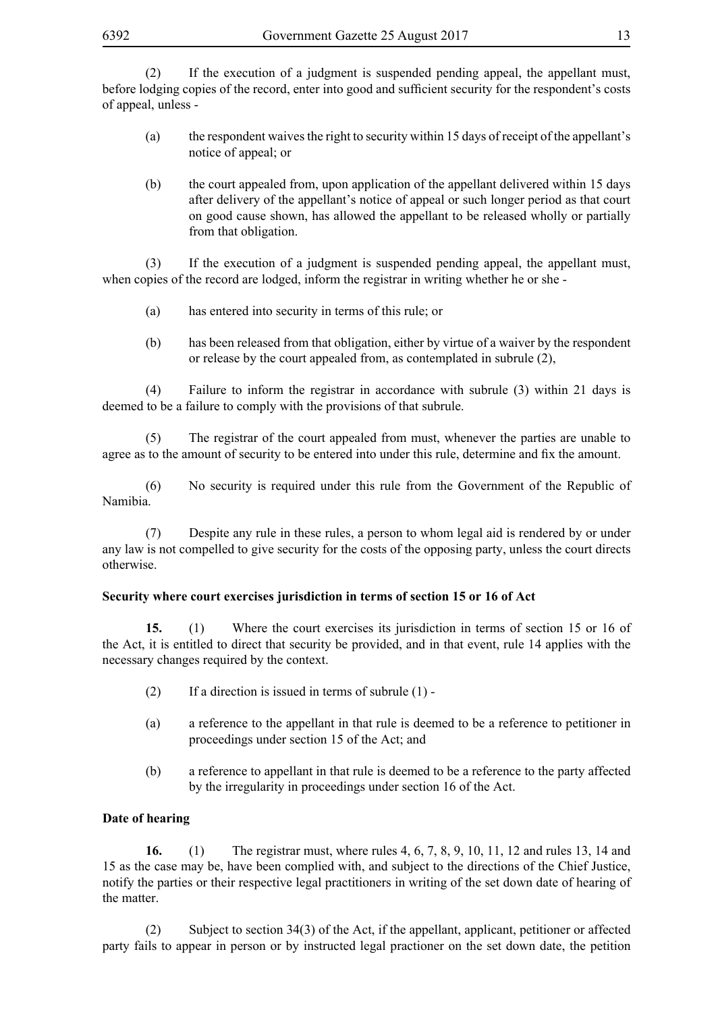(2) If the execution of a judgment is suspended pending appeal, the appellant must, before lodging copies of the record, enter into good and sufficient security for the respondent's costs of appeal, unless -

- (a) the respondent waives the right to security within 15 days of receipt of the appellant's notice of appeal; or
- (b) the court appealed from, upon application of the appellant delivered within 15 days after delivery of the appellant's notice of appeal or such longer period as that court on good cause shown, has allowed the appellant to be released wholly or partially from that obligation.

(3) If the execution of a judgment is suspended pending appeal, the appellant must, when copies of the record are lodged, inform the registrar in writing whether he or she -

- (a) has entered into security in terms of this rule; or
- (b) has been released from that obligation, either by virtue of a waiver by the respondent or release by the court appealed from, as contemplated in subrule (2),

(4) Failure to inform the registrar in accordance with subrule (3) within 21 days is deemed to be a failure to comply with the provisions of that subrule.

(5) The registrar of the court appealed from must, whenever the parties are unable to agree as to the amount of security to be entered into under this rule, determine and fix the amount.

(6) No security is required under this rule from the Government of the Republic of Namibia.

(7) Despite any rule in these rules, a person to whom legal aid is rendered by or under any law is not compelled to give security for the costs of the opposing party, unless the court directs otherwise.

#### **Security where court exercises jurisdiction in terms of section 15 or 16 of Act**

**15.** (1) Where the court exercises its jurisdiction in terms of section 15 or 16 of the Act, it is entitled to direct that security be provided, and in that event, rule 14 applies with the necessary changes required by the context.

- (2) If a direction is issued in terms of subrule  $(1)$  -
- (a) a reference to the appellant in that rule is deemed to be a reference to petitioner in proceedings under section 15 of the Act; and
- (b) a reference to appellant in that rule is deemed to be a reference to the party affected by the irregularity in proceedings under section 16 of the Act.

#### **Date of hearing**

**16.** (1) The registrar must, where rules 4, 6, 7, 8, 9, 10, 11, 12 and rules 13, 14 and 15 as the case may be, have been complied with, and subject to the directions of the Chief Justice, notify the parties or their respective legal practitioners in writing of the set down date of hearing of the matter.

(2) Subject to section 34(3) of the Act, if the appellant, applicant, petitioner or affected party fails to appear in person or by instructed legal practioner on the set down date, the petition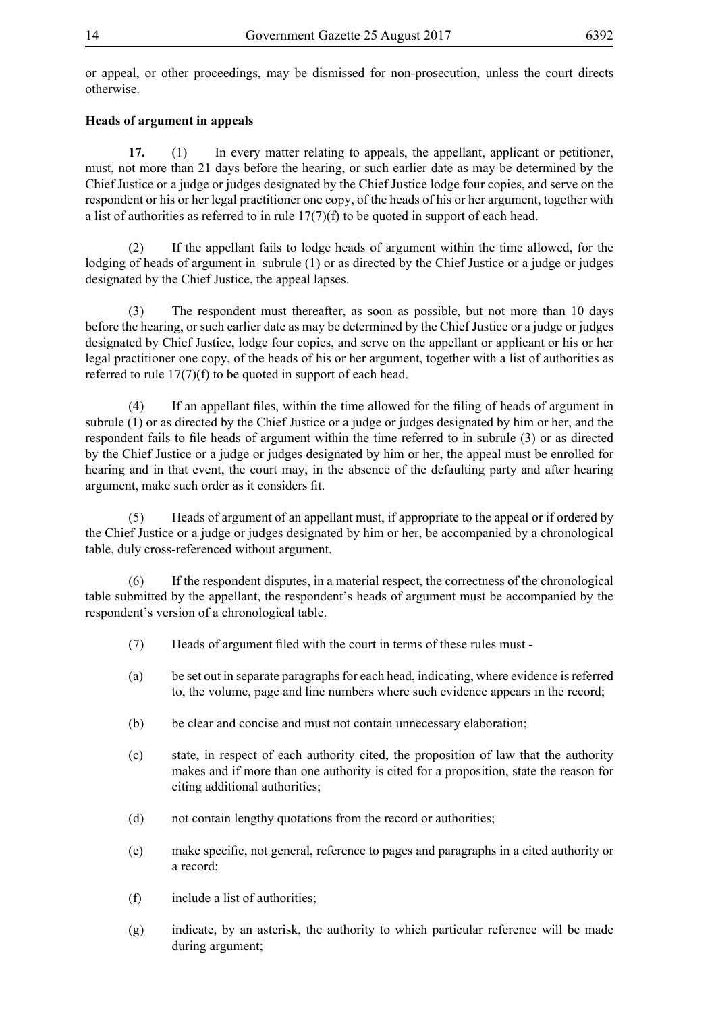or appeal, or other proceedings, may be dismissed for non-prosecution, unless the court directs otherwise.

# **Heads of argument in appeals**

**17.** (1) In every matter relating to appeals, the appellant, applicant or petitioner, must, not more than 21 days before the hearing, or such earlier date as may be determined by the Chief Justice or a judge or judges designated by the Chief Justice lodge four copies, and serve on the respondent or his or her legal practitioner one copy, of the heads of his or her argument, together with a list of authorities as referred to in rule 17(7)(f) to be quoted in support of each head.

(2) If the appellant fails to lodge heads of argument within the time allowed, for the lodging of heads of argument in subrule (1) or as directed by the Chief Justice or a judge or judges designated by the Chief Justice, the appeal lapses.

(3) The respondent must thereafter, as soon as possible, but not more than 10 days before the hearing, or such earlier date as may be determined by the Chief Justice or a judge or judges designated by Chief Justice, lodge four copies, and serve on the appellant or applicant or his or her legal practitioner one copy, of the heads of his or her argument, together with a list of authorities as referred to rule 17(7)(f) to be quoted in support of each head.

 (4) If an appellant files, within the time allowed for the filing of heads of argument in subrule (1) or as directed by the Chief Justice or a judge or judges designated by him or her, and the respondent fails to file heads of argument within the time referred to in subrule (3) or as directed by the Chief Justice or a judge or judges designated by him or her, the appeal must be enrolled for hearing and in that event, the court may, in the absence of the defaulting party and after hearing argument, make such order as it considers fit.

(5) Heads of argument of an appellant must, if appropriate to the appeal or if ordered by the Chief Justice or a judge or judges designated by him or her, be accompanied by a chronological table, duly cross-referenced without argument.

(6) If the respondent disputes, in a material respect, the correctness of the chronological table submitted by the appellant, the respondent's heads of argument must be accompanied by the respondent's version of a chronological table.

- (7) Heads of argument filed with the court in terms of these rules must -
- (a) be set out in separate paragraphs for each head, indicating, where evidence is referred to, the volume, page and line numbers where such evidence appears in the record;
- (b) be clear and concise and must not contain unnecessary elaboration;
- (c) state, in respect of each authority cited, the proposition of law that the authority makes and if more than one authority is cited for a proposition, state the reason for citing additional authorities;
- (d) not contain lengthy quotations from the record or authorities;
- (e) make specific, not general, reference to pages and paragraphs in a cited authority or a record;
- (f) include a list of authorities;
- (g) indicate, by an asterisk, the authority to which particular reference will be made during argument;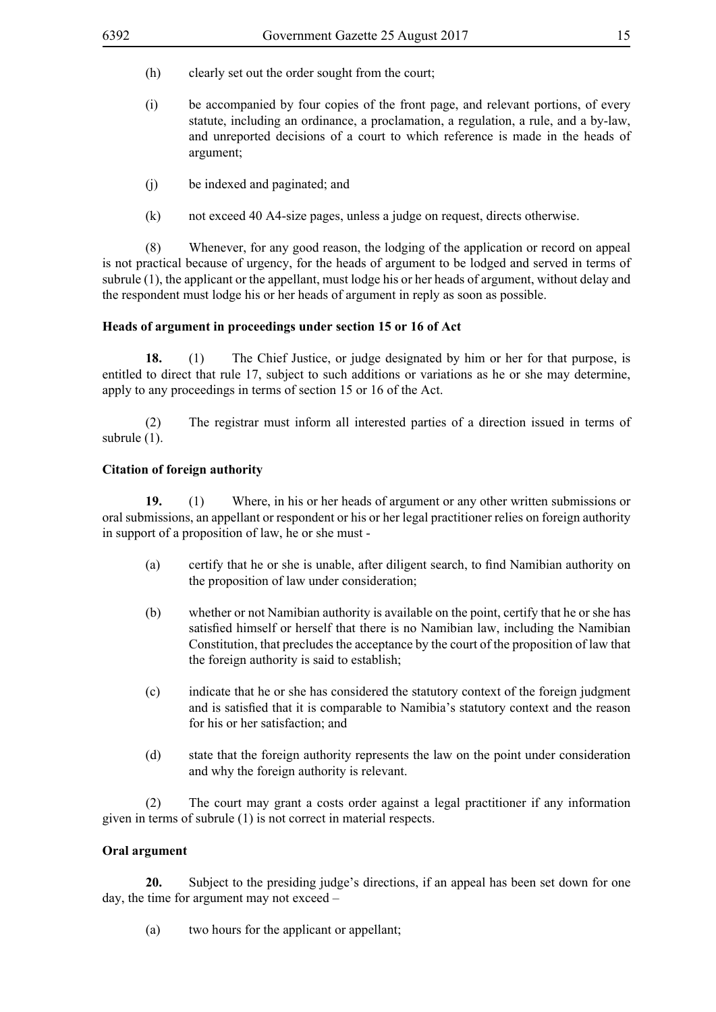- (h) clearly set out the order sought from the court;
- (i) be accompanied by four copies of the front page, and relevant portions, of every statute, including an ordinance, a proclamation, a regulation, a rule, and a by-law, and unreported decisions of a court to which reference is made in the heads of argument;
- (j) be indexed and paginated; and
- (k) not exceed 40 A4-size pages, unless a judge on request, directs otherwise.

(8) Whenever, for any good reason, the lodging of the application or record on appeal is not practical because of urgency, for the heads of argument to be lodged and served in terms of subrule (1), the applicant or the appellant, must lodge his or her heads of argument, without delay and the respondent must lodge his or her heads of argument in reply as soon as possible.

#### **Heads of argument in proceedings under section 15 or 16 of Act**

**18.** (1) The Chief Justice, or judge designated by him or her for that purpose, is entitled to direct that rule 17, subject to such additions or variations as he or she may determine, apply to any proceedings in terms of section 15 or 16 of the Act.

(2) The registrar must inform all interested parties of a direction issued in terms of subrule  $(1)$ .

#### **Citation of foreign authority**

**19.** (1) Where, in his or her heads of argument or any other written submissions or oral submissions, an appellant or respondent or his or her legal practitioner relies on foreign authority in support of a proposition of law, he or she must -

- (a) certify that he or she is unable, after diligent search, to find Namibian authority on the proposition of law under consideration;
- (b) whether or not Namibian authority is available on the point, certify that he or she has satisfied himself or herself that there is no Namibian law, including the Namibian Constitution, that precludes the acceptance by the court of the proposition of law that the foreign authority is said to establish;
- (c) indicate that he or she has considered the statutory context of the foreign judgment and is satisfied that it is comparable to Namibia's statutory context and the reason for his or her satisfaction; and
- (d) state that the foreign authority represents the law on the point under consideration and why the foreign authority is relevant.

(2) The court may grant a costs order against a legal practitioner if any information given in terms of subrule (1) is not correct in material respects.

#### **Oral argument**

**20.** Subject to the presiding judge's directions, if an appeal has been set down for one day, the time for argument may not exceed –

(a) two hours for the applicant or appellant;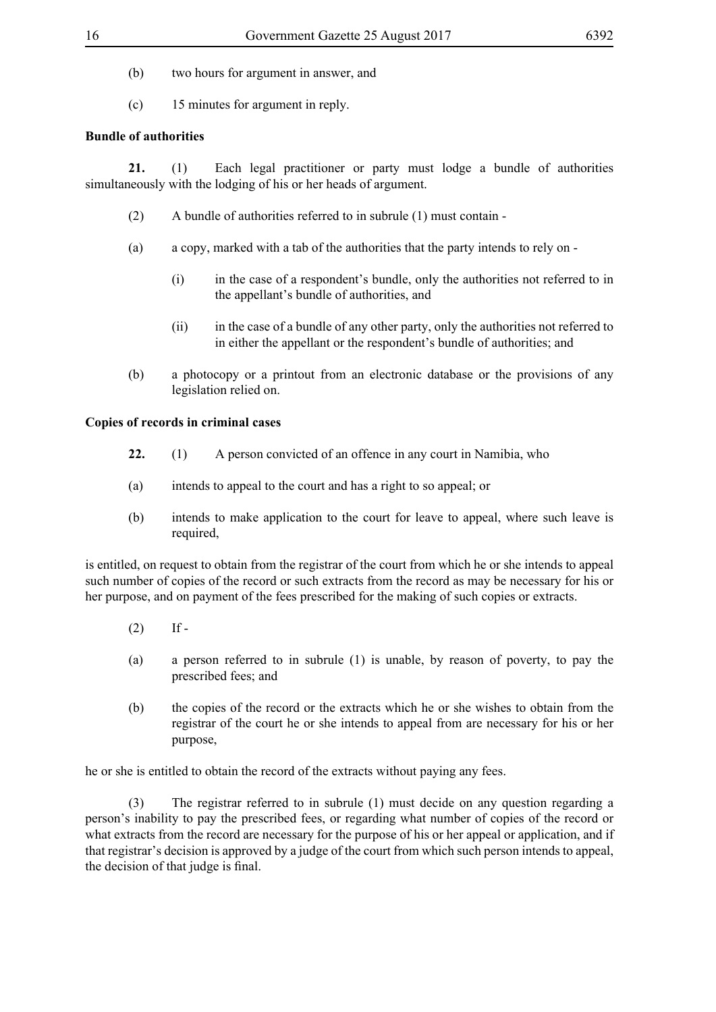- (b) two hours for argument in answer, and
- (c) 15 minutes for argument in reply.

# **Bundle of authorities**

**21.** (1) Each legal practitioner or party must lodge a bundle of authorities simultaneously with the lodging of his or her heads of argument.

- (2) A bundle of authorities referred to in subrule (1) must contain -
- (a) a copy, marked with a tab of the authorities that the party intends to rely on
	- (i) in the case of a respondent's bundle, only the authorities not referred to in the appellant's bundle of authorities, and
	- (ii) in the case of a bundle of any other party, only the authorities not referred to in either the appellant or the respondent's bundle of authorities; and
- (b) a photocopy or a printout from an electronic database or the provisions of any legislation relied on.

#### **Copies of records in criminal cases**

- **22.** (1) A person convicted of an offence in any court in Namibia, who
- (a) intends to appeal to the court and has a right to so appeal; or
- (b) intends to make application to the court for leave to appeal, where such leave is required,

is entitled, on request to obtain from the registrar of the court from which he or she intends to appeal such number of copies of the record or such extracts from the record as may be necessary for his or her purpose, and on payment of the fees prescribed for the making of such copies or extracts.

- $(2)$  If -
- (a) a person referred to in subrule (1) is unable, by reason of poverty, to pay the prescribed fees; and
- (b) the copies of the record or the extracts which he or she wishes to obtain from the registrar of the court he or she intends to appeal from are necessary for his or her purpose,

he or she is entitled to obtain the record of the extracts without paying any fees.

(3) The registrar referred to in subrule (1) must decide on any question regarding a person's inability to pay the prescribed fees, or regarding what number of copies of the record or what extracts from the record are necessary for the purpose of his or her appeal or application, and if that registrar's decision is approved by a judge of the court from which such person intends to appeal, the decision of that judge is final.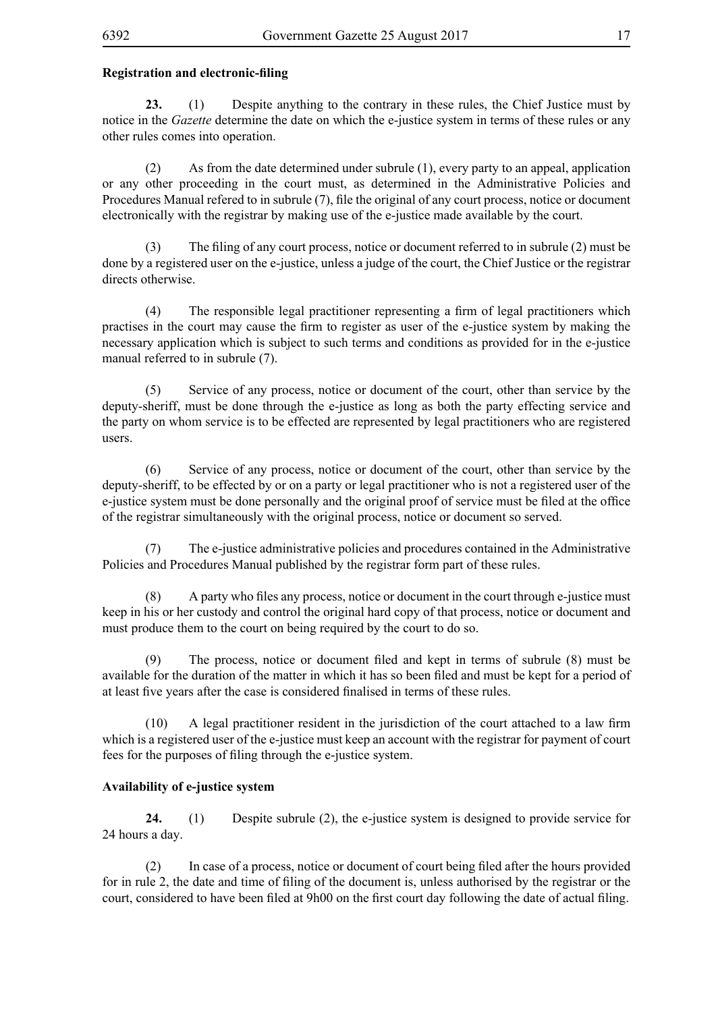## **Registration and electronic-filing**

**23.** (1) Despite anything to the contrary in these rules, the Chief Justice must by notice in the *Gazette* determine the date on which the e-justice system in terms of these rules or any other rules comes into operation.

(2) As from the date determined under subrule (1), every party to an appeal, application or any other proceeding in the court must, as determined in the Administrative Policies and Procedures Manual refered to in subrule (7), file the original of any court process, notice or document electronically with the registrar by making use of the e-justice made available by the court.

 (3) The filing of any court process, notice or document referred to in subrule (2) must be done by a registered user on the e-justice, unless a judge of the court, the Chief Justice or the registrar directs otherwise.

 (4) The responsible legal practitioner representing a firm of legal practitioners which practises in the court may cause the firm to register as user of the e-justice system by making the necessary application which is subject to such terms and conditions as provided for in the e-justice manual referred to in subrule (7).

(5) Service of any process, notice or document of the court, other than service by the deputy-sheriff, must be done through the e-justice as long as both the party effecting service and the party on whom service is to be effected are represented by legal practitioners who are registered users.

(6) Service of any process, notice or document of the court, other than service by the deputy-sheriff, to be effected by or on a party or legal practitioner who is not a registered user of the e-justice system must be done personally and the original proof of service must be filed at the office of the registrar simultaneously with the original process, notice or document so served.

(7) The e-justice administrative policies and procedures contained in the Administrative Policies and Procedures Manual published by the registrar form part of these rules.

 (8) A party who files any process, notice or document in the court through e-justice must keep in his or her custody and control the original hard copy of that process, notice or document and must produce them to the court on being required by the court to do so.

 (9) The process, notice or document filed and kept in terms of subrule (8) must be available for the duration of the matter in which it has so been filed and must be kept for a period of at least five years after the case is considered finalised in terms of these rules.

 (10) A legal practitioner resident in the jurisdiction of the court attached to a law firm which is a registered user of the e-justice must keep an account with the registrar for payment of court fees for the purposes of filing through the e-justice system.

## **Availability of e-justice system**

**24.** (1) Despite subrule (2), the e-justice system is designed to provide service for 24 hours a day.

 (2) In case of a process, notice or document of court being filed after the hours provided for in rule 2, the date and time of filing of the document is, unless authorised by the registrar or the court, considered to have been filed at 9h00 on the first court day following the date of actual filing.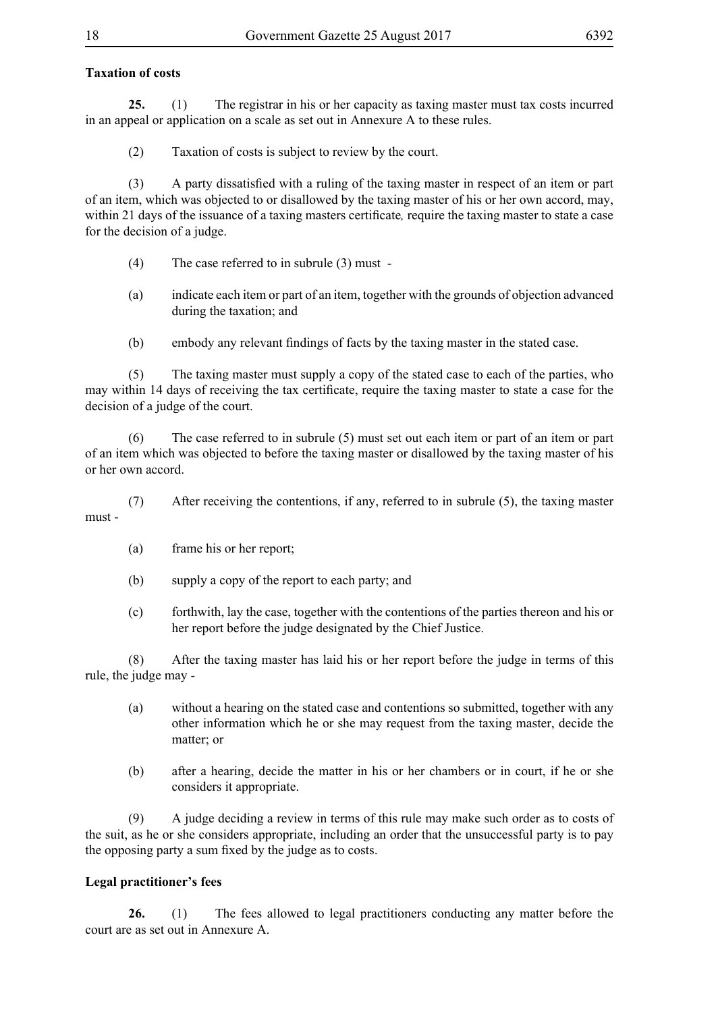# **Taxation of costs**

**25.** (1) The registrar in his or her capacity as taxing master must tax costs incurred in an appeal or application on a scale as set out in Annexure A to these rules.

(2) Taxation of costs is subject to review by the court.

 (3) A party dissatisfied with a ruling of the taxing master in respect of an item or part of an item, which was objected to or disallowed by the taxing master of his or her own accord, may, within 21 days of the issuance of a taxing masters certificate*,* require the taxing master to state a case for the decision of a judge.

- (4) The case referred to in subrule (3) must -
- (a) indicate each item or part of an item, together with the grounds of objection advanced during the taxation; and
- (b) embody any relevant findings of facts by the taxing master in the stated case.

(5) The taxing master must supply a copy of the stated case to each of the parties, who may within 14 days of receiving the tax certificate, require the taxing master to state a case for the decision of a judge of the court.

(6) The case referred to in subrule (5) must set out each item or part of an item or part of an item which was objected to before the taxing master or disallowed by the taxing master of his or her own accord.

(7) After receiving the contentions, if any, referred to in subrule (5), the taxing master must -

- (a) frame his or her report;
- (b) supply a copy of the report to each party; and
- (c) forthwith, lay the case, together with the contentions of the parties thereon and his or her report before the judge designated by the Chief Justice.

(8) After the taxing master has laid his or her report before the judge in terms of this rule, the judge may -

- (a) without a hearing on the stated case and contentions so submitted, together with any other information which he or she may request from the taxing master, decide the matter; or
- (b) after a hearing, decide the matter in his or her chambers or in court, if he or she considers it appropriate.

(9) A judge deciding a review in terms of this rule may make such order as to costs of the suit, as he or she considers appropriate, including an order that the unsuccessful party is to pay the opposing party a sum fixed by the judge as to costs.

# **Legal practitioner's fees**

**26.** (1) The fees allowed to legal practitioners conducting any matter before the court are as set out in Annexure A.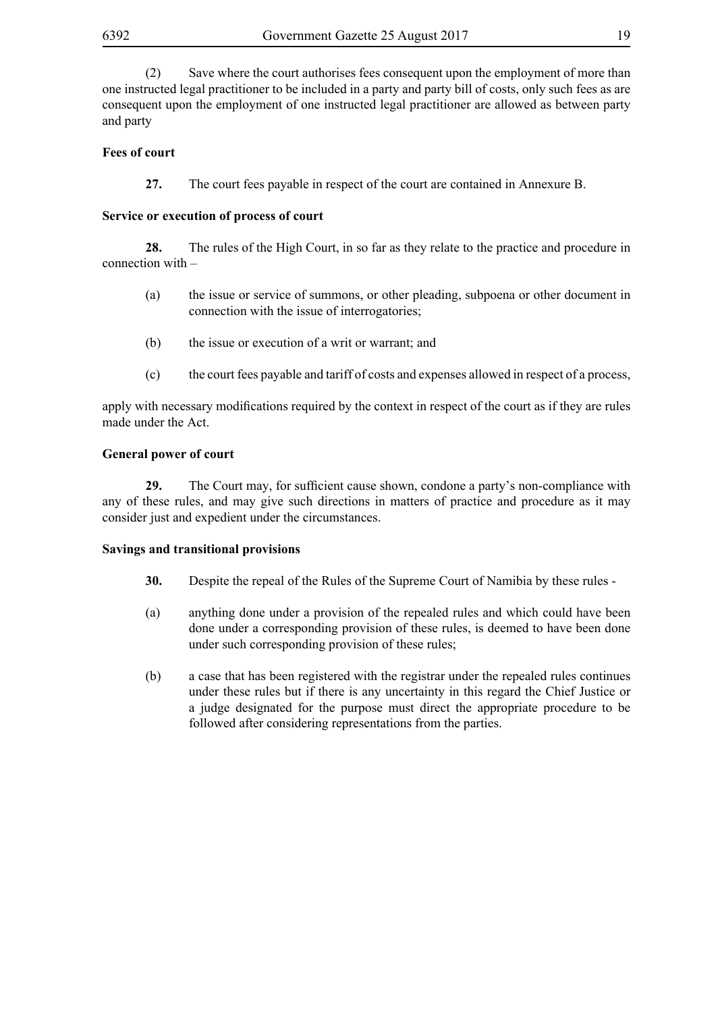(2) Save where the court authorises fees consequent upon the employment of more than one instructed legal practitioner to be included in a party and party bill of costs, only such fees as are consequent upon the employment of one instructed legal practitioner are allowed as between party and party

## **Fees of court**

**27.** The court fees payable in respect of the court are contained in Annexure B.

#### **Service or execution of process of court**

**28.** The rules of the High Court, in so far as they relate to the practice and procedure in connection with –

- (a) the issue or service of summons, or other pleading, subpoena or other document in connection with the issue of interrogatories;
- (b) the issue or execution of a writ or warrant; and
- (c) the court fees payable and tariff of costs and expenses allowed in respect of a process,

apply with necessary modifications required by the context in respect of the court as if they are rules made under the Act.

#### **General power of court**

29. The Court may, for sufficient cause shown, condone a party's non-compliance with any of these rules, and may give such directions in matters of practice and procedure as it may consider just and expedient under the circumstances.

#### **Savings and transitional provisions**

- **30.** Despite the repeal of the Rules of the Supreme Court of Namibia by these rules -
- (a) anything done under a provision of the repealed rules and which could have been done under a corresponding provision of these rules, is deemed to have been done under such corresponding provision of these rules;
- (b) a case that has been registered with the registrar under the repealed rules continues under these rules but if there is any uncertainty in this regard the Chief Justice or a judge designated for the purpose must direct the appropriate procedure to be followed after considering representations from the parties.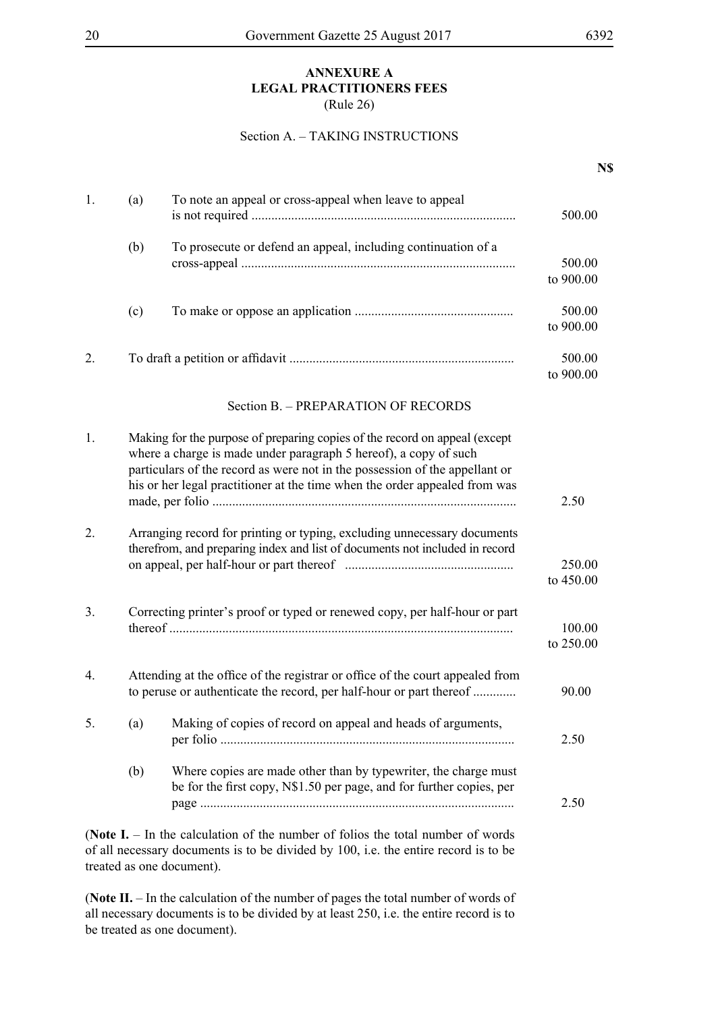#### **ANNEXURE A LEGAL PRACTITIONERS FEES** (Rule 26)

#### Section A. – TAKING INSTRUCTIONS

|    |     |                                                                                                                                                                                                                                                                                                             | N\$                 |
|----|-----|-------------------------------------------------------------------------------------------------------------------------------------------------------------------------------------------------------------------------------------------------------------------------------------------------------------|---------------------|
| 1. | (a) | To note an appeal or cross-appeal when leave to appeal                                                                                                                                                                                                                                                      | 500.00              |
|    | (b) | To prosecute or defend an appeal, including continuation of a                                                                                                                                                                                                                                               | 500.00<br>to 900.00 |
|    | (c) |                                                                                                                                                                                                                                                                                                             | 500.00<br>to 900.00 |
| 2. |     |                                                                                                                                                                                                                                                                                                             | 500.00<br>to 900.00 |
|    |     | Section B. - PREPARATION OF RECORDS                                                                                                                                                                                                                                                                         |                     |
| 1. |     | Making for the purpose of preparing copies of the record on appeal (except<br>where a charge is made under paragraph 5 hereof), a copy of such<br>particulars of the record as were not in the possession of the appellant or<br>his or her legal practitioner at the time when the order appealed from was | 2.50                |
| 2. |     | Arranging record for printing or typing, excluding unnecessary documents<br>therefrom, and preparing index and list of documents not included in record                                                                                                                                                     | 250.00<br>to 450.00 |
| 3. |     | Correcting printer's proof or typed or renewed copy, per half-hour or part                                                                                                                                                                                                                                  | 100.00<br>to 250.00 |
| 4. |     | Attending at the office of the registrar or office of the court appealed from<br>to peruse or authenticate the record, per half-hour or part thereof                                                                                                                                                        | 90.00               |
| 5. | (a) | Making of copies of record on appeal and heads of arguments,                                                                                                                                                                                                                                                | 2.50                |
|    | (b) | Where copies are made other than by typewriter, the charge must<br>be for the first copy, N\$1.50 per page, and for further copies, per                                                                                                                                                                     | 2.50                |

(**Note I.** – In the calculation of the number of folios the total number of words of all necessary documents is to be divided by 100, i.e. the entire record is to be treated as one document).

(**Note II.** – In the calculation of the number of pages the total number of words of all necessary documents is to be divided by at least 250, i.e. the entire record is to be treated as one document).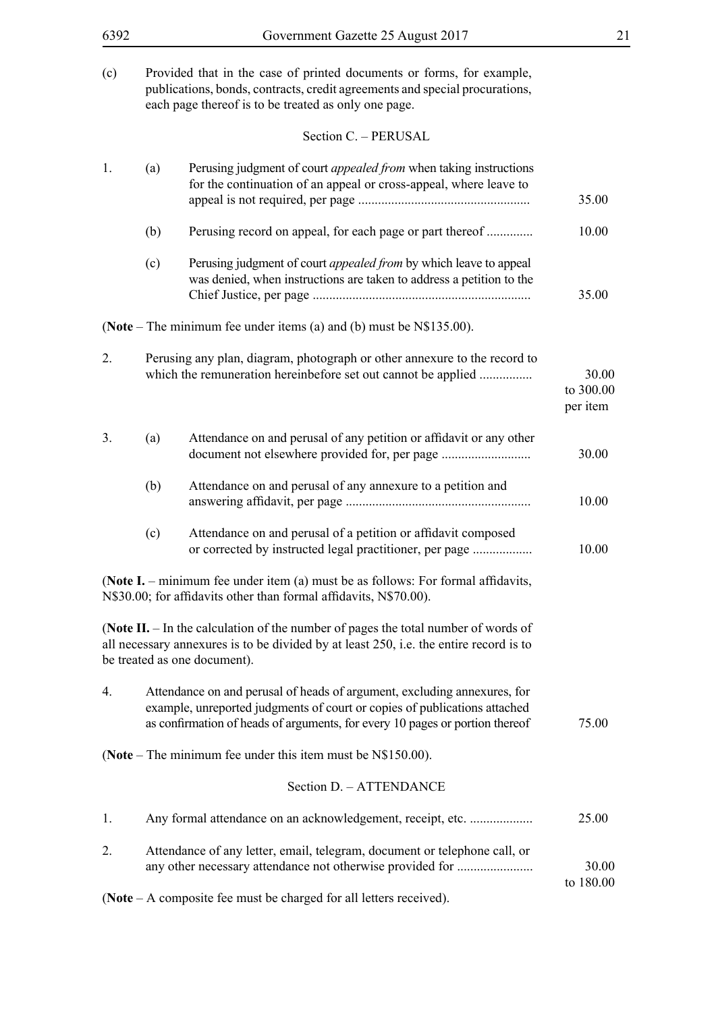(c) Provided that in the case of printed documents or forms, for example, publications, bonds, contracts, credit agreements and special procurations, each page thereof is to be treated as only one page.

Section C. – PERUSAL

| 1. | (a) | Perusing judgment of court <i>appealed from</i> when taking instructions<br>for the continuation of an appeal or cross-appeal, where leave to                                                                                         | 35.00                          |
|----|-----|---------------------------------------------------------------------------------------------------------------------------------------------------------------------------------------------------------------------------------------|--------------------------------|
|    | (b) | Perusing record on appeal, for each page or part thereof                                                                                                                                                                              | 10.00                          |
|    | (c) | Perusing judgment of court <i>appealed from</i> by which leave to appeal<br>was denied, when instructions are taken to address a petition to the                                                                                      | 35.00                          |
|    |     | (Note – The minimum fee under items (a) and (b) must be $N$135.00$ ).                                                                                                                                                                 |                                |
| 2. |     | Perusing any plan, diagram, photograph or other annexure to the record to<br>which the remuneration hereinbefore set out cannot be applied                                                                                            | 30.00<br>to 300.00<br>per item |
| 3. | (a) | Attendance on and perusal of any petition or affidavit or any other<br>document not elsewhere provided for, per page                                                                                                                  | 30.00                          |
|    | (b) | Attendance on and perusal of any annexure to a petition and                                                                                                                                                                           | 10.00                          |
|    | (c) | Attendance on and perusal of a petition or affidavit composed<br>or corrected by instructed legal practitioner, per page                                                                                                              | 10.00                          |
|    |     | (Note I. – minimum fee under item (a) must be as follows: For formal affidavits,<br>N\$30.00; for affidavits other than formal affidavits, N\$70.00).                                                                                 |                                |
|    |     | (Note II. - In the calculation of the number of pages the total number of words of<br>all necessary annexures is to be divided by at least 250, i.e. the entire record is to<br>be treated as one document).                          |                                |
| 4. |     | Attendance on and perusal of heads of argument, excluding annexures, for<br>example, unreported judgments of court or copies of publications attached<br>as confirmation of heads of arguments, for every 10 pages or portion thereof | 75.00                          |
|    |     | (Note – The minimum fee under this item must be $N$150.00$ ).                                                                                                                                                                         |                                |
|    |     | Section D. - ATTENDANCE                                                                                                                                                                                                               |                                |
| 1. |     | Any formal attendance on an acknowledgement, receipt, etc.                                                                                                                                                                            | 25.00                          |
| 2. |     | Attendance of any letter, email, telegram, document or telephone call, or<br>any other necessary attendance not otherwise provided for                                                                                                | 30.00                          |
|    |     | (Note $-A$ composite fee must be charged for all letters received).                                                                                                                                                                   | to 180.00                      |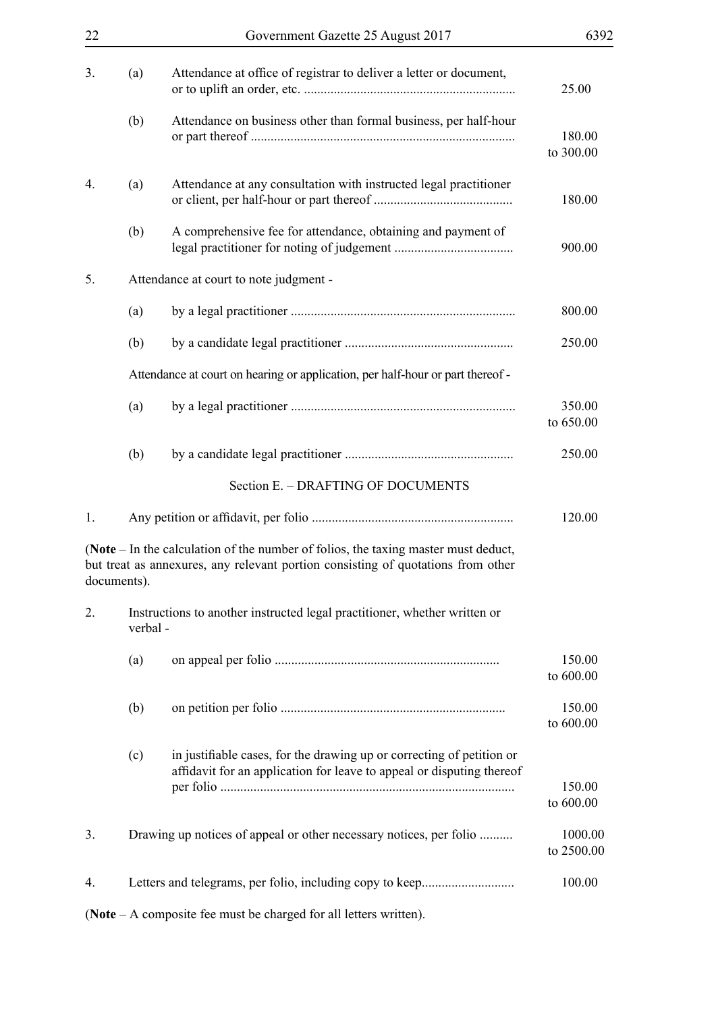| 22 |             | Government Gazette 25 August 2017                                                                                                                                      | 6392                  |
|----|-------------|------------------------------------------------------------------------------------------------------------------------------------------------------------------------|-----------------------|
| 3. | (a)         | Attendance at office of registrar to deliver a letter or document,                                                                                                     | 25.00                 |
|    | (b)         | Attendance on business other than formal business, per half-hour                                                                                                       | 180.00<br>to 300.00   |
| 4. | (a)         | Attendance at any consultation with instructed legal practitioner                                                                                                      | 180.00                |
|    | (b)         | A comprehensive fee for attendance, obtaining and payment of                                                                                                           | 900.00                |
| 5. |             | Attendance at court to note judgment -                                                                                                                                 |                       |
|    | (a)         |                                                                                                                                                                        | 800.00                |
|    | (b)         |                                                                                                                                                                        | 250.00                |
|    |             | Attendance at court on hearing or application, per half-hour or part thereof -                                                                                         |                       |
|    | (a)         |                                                                                                                                                                        | 350.00<br>to 650.00   |
|    | (b)         |                                                                                                                                                                        | 250.00                |
|    |             | Section E. - DRAFTING OF DOCUMENTS                                                                                                                                     |                       |
| 1. |             |                                                                                                                                                                        | 120.00                |
|    | documents). | (Note – In the calculation of the number of folios, the taxing master must deduct,<br>but treat as annexures, any relevant portion consisting of quotations from other |                       |
| 2. | verbal-     | Instructions to another instructed legal practitioner, whether written or                                                                                              |                       |
|    | (a)         |                                                                                                                                                                        | 150.00<br>to 600.00   |
|    | (b)         |                                                                                                                                                                        | 150.00<br>to 600.00   |
|    | (c)         | in justifiable cases, for the drawing up or correcting of petition or<br>affidavit for an application for leave to appeal or disputing thereof                         | 150.00<br>to 600.00   |
| 3. |             | Drawing up notices of appeal or other necessary notices, per folio                                                                                                     | 1000.00<br>to 2500.00 |
| 4. |             |                                                                                                                                                                        | 100.00                |
|    |             | (Note $-$ A composite fee must be charged for all letters written).                                                                                                    |                       |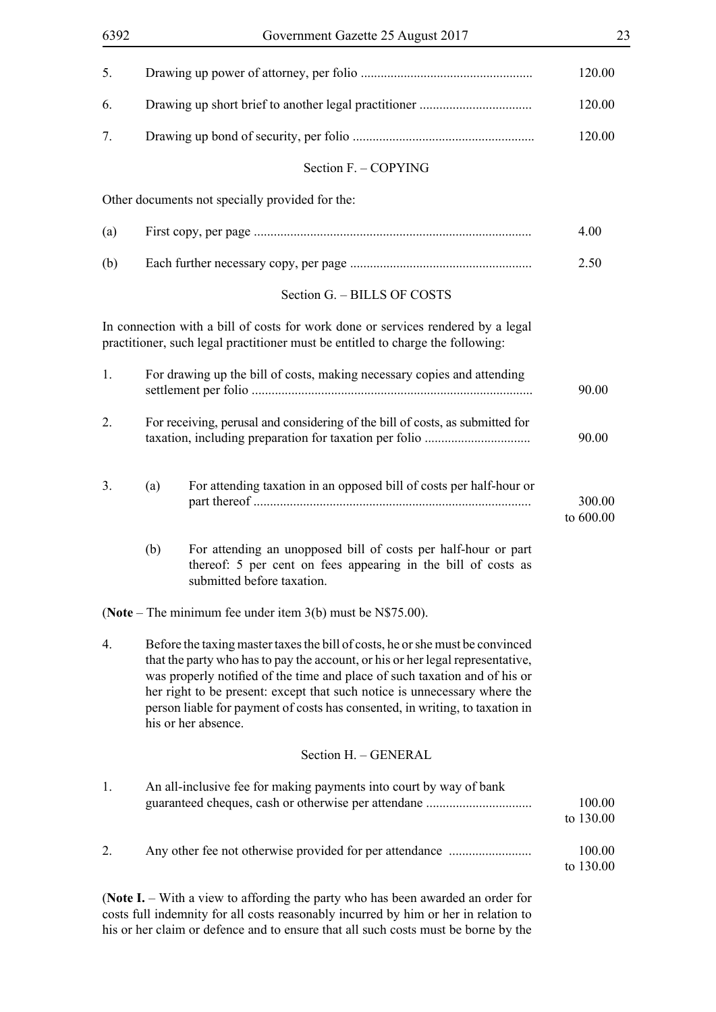| 5.  |                                                                               |                                                                                                                                                                                                                                                                                                                                                                                                                                   | 120.00              |
|-----|-------------------------------------------------------------------------------|-----------------------------------------------------------------------------------------------------------------------------------------------------------------------------------------------------------------------------------------------------------------------------------------------------------------------------------------------------------------------------------------------------------------------------------|---------------------|
| 6.  |                                                                               |                                                                                                                                                                                                                                                                                                                                                                                                                                   | 120.00              |
| 7.  |                                                                               |                                                                                                                                                                                                                                                                                                                                                                                                                                   | 120.00              |
|     |                                                                               | Section F. - COPYING                                                                                                                                                                                                                                                                                                                                                                                                              |                     |
|     |                                                                               | Other documents not specially provided for the:                                                                                                                                                                                                                                                                                                                                                                                   |                     |
| (a) |                                                                               |                                                                                                                                                                                                                                                                                                                                                                                                                                   | 4.00                |
| (b) |                                                                               |                                                                                                                                                                                                                                                                                                                                                                                                                                   | 2.50                |
|     |                                                                               | Section G. - BILLS OF COSTS                                                                                                                                                                                                                                                                                                                                                                                                       |                     |
|     |                                                                               | In connection with a bill of costs for work done or services rendered by a legal<br>practitioner, such legal practitioner must be entitled to charge the following:                                                                                                                                                                                                                                                               |                     |
| 1.  |                                                                               | For drawing up the bill of costs, making necessary copies and attending                                                                                                                                                                                                                                                                                                                                                           | 90.00               |
| 2.  | For receiving, perusal and considering of the bill of costs, as submitted for |                                                                                                                                                                                                                                                                                                                                                                                                                                   | 90.00               |
| 3.  | (a)                                                                           | For attending taxation in an opposed bill of costs per half-hour or                                                                                                                                                                                                                                                                                                                                                               | 300.00<br>to 600.00 |
|     | (b)                                                                           | For attending an unopposed bill of costs per half-hour or part<br>thereof: 5 per cent on fees appearing in the bill of costs as<br>submitted before taxation.                                                                                                                                                                                                                                                                     |                     |
|     |                                                                               | (Note – The minimum fee under item $3(b)$ must be N\$75.00).                                                                                                                                                                                                                                                                                                                                                                      |                     |
| 4.  |                                                                               | Before the taxing master taxes the bill of costs, he or she must be convinced<br>that the party who has to pay the account, or his or her legal representative,<br>was properly notified of the time and place of such taxation and of his or<br>her right to be present: except that such notice is unnecessary where the<br>person liable for payment of costs has consented, in writing, to taxation in<br>his or her absence. |                     |
|     |                                                                               | Section H. - GENERAL                                                                                                                                                                                                                                                                                                                                                                                                              |                     |
| 1.  |                                                                               | An all-inclusive fee for making payments into court by way of bank                                                                                                                                                                                                                                                                                                                                                                | 100.00<br>to 130.00 |
| 2.  |                                                                               |                                                                                                                                                                                                                                                                                                                                                                                                                                   | 100.00<br>to 130.00 |
|     |                                                                               | (Note I. – With a view to affording the party who has been awarded an order for<br>costs full indemnity for all costs reasonably incurred by him or her in relation to                                                                                                                                                                                                                                                            |                     |

his or her claim or defence and to ensure that all such costs must be borne by the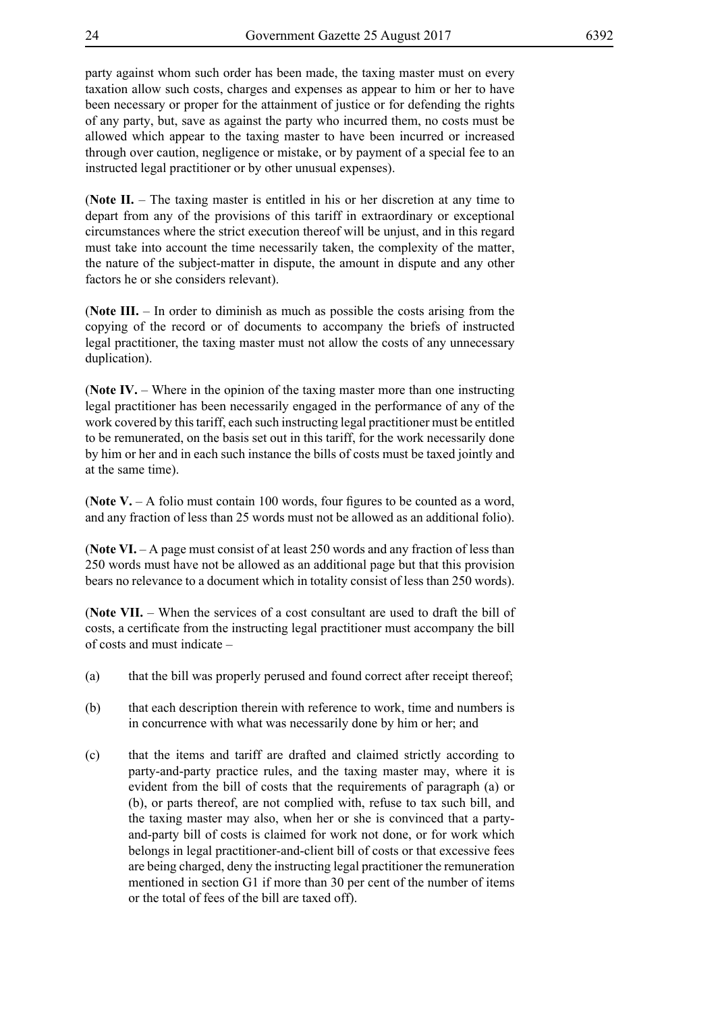party against whom such order has been made, the taxing master must on every taxation allow such costs, charges and expenses as appear to him or her to have been necessary or proper for the attainment of justice or for defending the rights of any party, but, save as against the party who incurred them, no costs must be allowed which appear to the taxing master to have been incurred or increased through over caution, negligence or mistake, or by payment of a special fee to an instructed legal practitioner or by other unusual expenses).

(**Note II.** – The taxing master is entitled in his or her discretion at any time to depart from any of the provisions of this tariff in extraordinary or exceptional circumstances where the strict execution thereof will be unjust, and in this regard must take into account the time necessarily taken, the complexity of the matter, the nature of the subject-matter in dispute, the amount in dispute and any other factors he or she considers relevant).

(**Note III.** – In order to diminish as much as possible the costs arising from the copying of the record or of documents to accompany the briefs of instructed legal practitioner, the taxing master must not allow the costs of any unnecessary duplication).

(**Note IV.** – Where in the opinion of the taxing master more than one instructing legal practitioner has been necessarily engaged in the performance of any of the work covered by this tariff, each such instructing legal practitioner must be entitled to be remunerated, on the basis set out in this tariff, for the work necessarily done by him or her and in each such instance the bills of costs must be taxed jointly and at the same time).

(**Note V.** – A folio must contain 100 words, four figures to be counted as a word, and any fraction of less than 25 words must not be allowed as an additional folio).

(**Note VI.** – A page must consist of at least 250 words and any fraction of less than 250 words must have not be allowed as an additional page but that this provision bears no relevance to a document which in totality consist of less than 250 words).

(**Note VII.** – When the services of a cost consultant are used to draft the bill of costs, a certificate from the instructing legal practitioner must accompany the bill of costs and must indicate –

- (a) that the bill was properly perused and found correct after receipt thereof;
- (b) that each description therein with reference to work, time and numbers is in concurrence with what was necessarily done by him or her; and
- (c) that the items and tariff are drafted and claimed strictly according to party-and-party practice rules, and the taxing master may, where it is evident from the bill of costs that the requirements of paragraph (a) or (b), or parts thereof, are not complied with, refuse to tax such bill, and the taxing master may also, when her or she is convinced that a partyand-party bill of costs is claimed for work not done, or for work which belongs in legal practitioner-and-client bill of costs or that excessive fees are being charged, deny the instructing legal practitioner the remuneration mentioned in section G1 if more than 30 per cent of the number of items or the total of fees of the bill are taxed off).